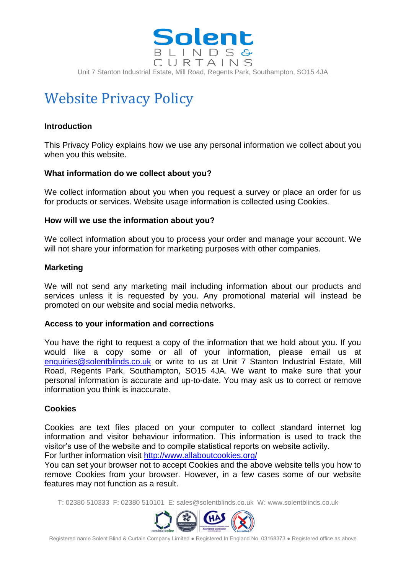

Unit 7 Stanton Industrial Estate, Mill Road, Regents Park, Southampton, SO15 4JA

# Website Privacy Policy

# **Introduction**

This Privacy Policy explains how we use any personal information we collect about you when you this website.

## **What information do we collect about you?**

We collect information about you when you request a survey or place an order for us for products or services. Website usage information is collected using Cookies.

## **How will we use the information about you?**

We collect information about you to process your order and manage your account. We will not share your information for marketing purposes with other companies.

## **Marketing**

We will not send any marketing mail including information about our products and services unless it is requested by you. Any promotional material will instead be promoted on our website and social media networks.

## **Access to your information and corrections**

You have the right to request a copy of the information that we hold about you. If you would like a copy some or all of your information, please email us at [enquiries@solentblinds.co.uk](mailto:enquiries@solentblinds.co.uk) or write to us at Unit 7 Stanton Industrial Estate, Mill Road, Regents Park, Southampton, SO15 4JA. We want to make sure that your personal information is accurate and up-to-date. You may ask us to correct or remove information you think is inaccurate.

## **Cookies**

Cookies are text files placed on your computer to collect standard internet log information and visitor behaviour information. This information is used to track the visitor's use of the website and to compile statistical reports on website activity.

For further information visit<http://www.allaboutcookies.org/>

You can set your browser not to accept Cookies and the above website tells you how to remove Cookies from your browser. However, in a few cases some of our website features may not function as a result.

T: 02380 510333 F: 02380 510101 E: sales@solentblinds.co.uk W: www.solentblinds.co.uk



Registered name Solent Blind & Curtain Company Limited ● Registered In England No. 03168373 ● Registered office as above